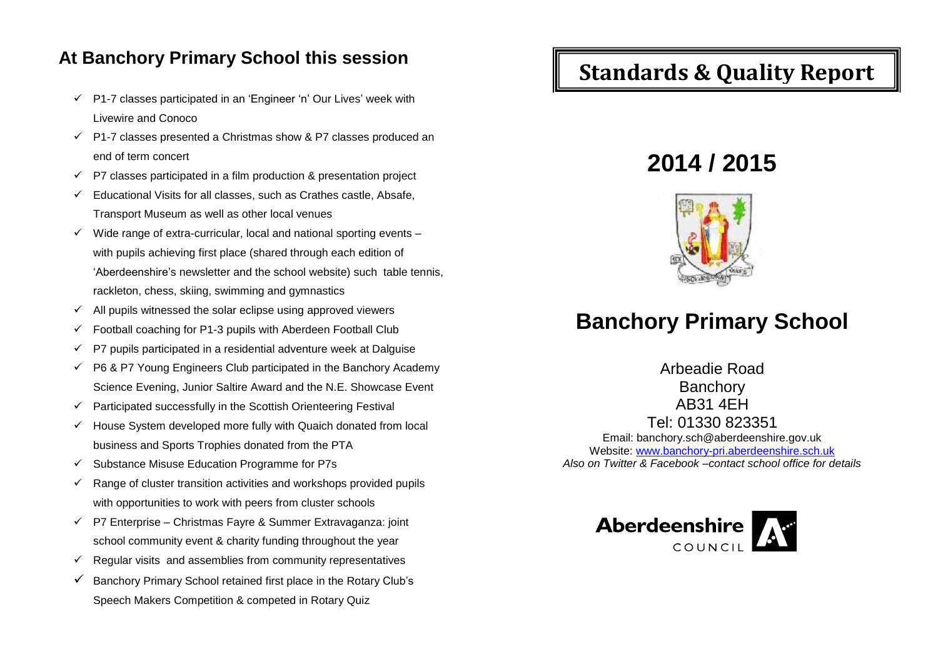## **At Banchory Primary School this session**

- $\checkmark$  P1-7 classes participated in an 'Engineer 'n' Our Lives' week with Livewire and Conoco
- $\checkmark$  P1-7 classes presented a Christmas show & P7 classes produced an end of term concert
- $\checkmark$  P7 classes participated in a film production & presentation project
- $\checkmark$  Educational Visits for all classes, such as Crathes castle, Absafe, Transport Museum as well as other local venues
- $\checkmark$  Wide range of extra-curricular, local and national sporting events with pupils achieving first place (shared through each edition of 'Aberdeenshire's newsletter and the school website) such table tennis, rackleton, chess, skiing, swimming and gymnastics
- $\checkmark$  All pupils witnessed the solar eclipse using approved viewers
- Football coaching for P1-3 pupils with Aberdeen Football Club
- $\checkmark$  P7 pupils participated in a residential adventure week at Dalguise
- $\checkmark$  P6 & P7 Young Engineers Club participated in the Banchory Academy Science Evening, Junior Saltire Award and the N.E. Showcase Event
- $\checkmark$  Participated successfully in the Scottish Orienteering Festival
- $\checkmark$  House System developed more fully with Quaich donated from local business and Sports Trophies donated from the PTA
- $\checkmark$  Substance Misuse Education Programme for P7s
- $\checkmark$  Range of cluster transition activities and workshops provided pupils with opportunities to work with peers from cluster schools
- $\checkmark$  P7 Enterprise Christmas Fayre & Summer Extravaganza: joint school community event & charity funding throughout the year
- $\checkmark$  Regular visits and assemblies from community representatives
- $\checkmark$  Banchory Primary School retained first place in the Rotary Club's Speech Makers Competition & competed in Rotary Quiz

## **Standards & Quality Report**

# **2014 / 2015**



## **Banchory Primary School**

Arbeadie Road **Banchory** AB31 4EH Tel: 01330 823351 Email: banchory.sch@aberdeenshire.gov.uk Website: [www.banchory-pri.aberdeenshire.sch.uk](http://www.banchory-pri.aberdeenshire.sch.uk/) *Also on Twitter & Facebook –contact school office for details*

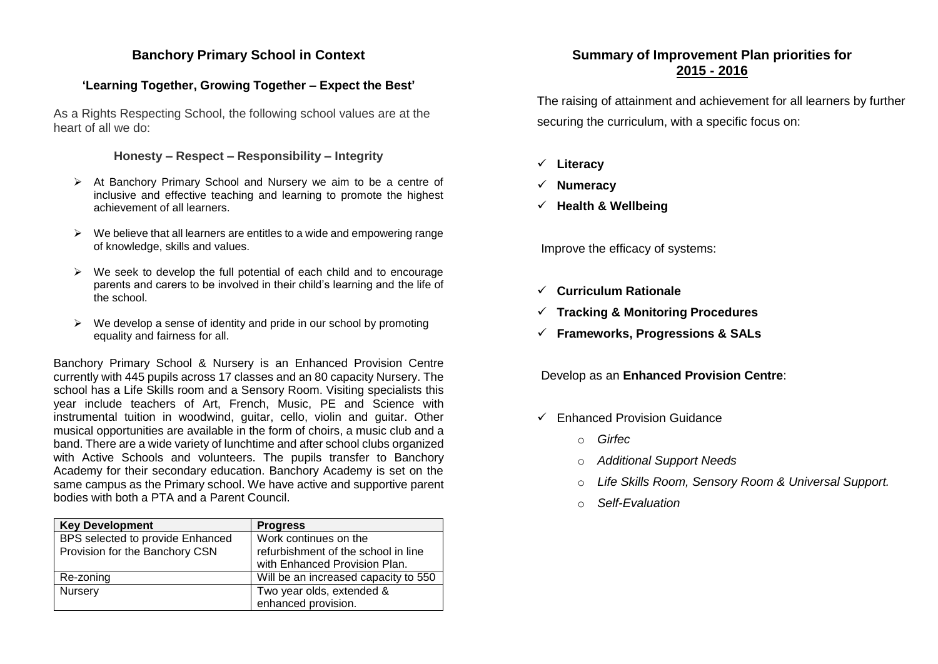#### **Banchory Primary School in Context**

### **'Learning Together, Growing Together – Expect the Best'**

As a Rights Respecting School, the following school values are at the heart of all we do:

#### **Honesty – Respect – Responsibility – Integrity**

- $\triangleright$  At Banchory Primary School and Nursery we aim to be a centre of inclusive and effective teaching and learning to promote the highest achievement of all learners.
- $\triangleright$  We believe that all learners are entitles to a wide and empowering range of knowledge, skills and values.
- $\triangleright$  We seek to develop the full potential of each child and to encourage parents and carers to be involved in their child's learning and the life of the school.
- $\triangleright$  We develop a sense of identity and pride in our school by promoting equality and fairness for all.

Banchory Primary School & Nursery is an Enhanced Provision Centre currently with 445 pupils across 17 classes and an 80 capacity Nursery. The school has a Life Skills room and a Sensory Room. Visiting specialists this year include teachers of Art, French, Music, PE and Science with instrumental tuition in woodwind, guitar, cello, violin and guitar. Other musical opportunities are available in the form of choirs, a music club and a band. There are a wide variety of lunchtime and after school clubs organized with Active Schools and volunteers. The pupils transfer to Banchory Academy for their secondary education. Banchory Academy is set on the same campus as the Primary school. We have active and supportive parent bodies with both a PTA and a Parent Council.

| <b>Key Development</b>           | <b>Progress</b>                      |
|----------------------------------|--------------------------------------|
| BPS selected to provide Enhanced | Work continues on the                |
| Provision for the Banchory CSN   | refurbishment of the school in line  |
|                                  | with Enhanced Provision Plan.        |
| Re-zoning                        | Will be an increased capacity to 550 |
| Nursery                          | Two year olds, extended &            |
|                                  | enhanced provision.                  |

### **Summary of Improvement Plan priorities for 2015 - 2016**

The raising of attainment and achievement for all learners by further securing the curriculum, with a specific focus on:

- **Literacy**
- **Numeracy**
- **Health & Wellbeing**

Improve the efficacy of systems:

- **Curriculum Rationale**
- **Tracking & Monitoring Procedures**
- **Frameworks, Progressions & SALs**

Develop as an **Enhanced Provision Centre**:

- $\checkmark$  Enhanced Provision Guidance
	- o *Girfec*
	- o *Additional Support Needs*
	- o *Life Skills Room, Sensory Room & Universal Support.*
	- o *Self-Evaluation*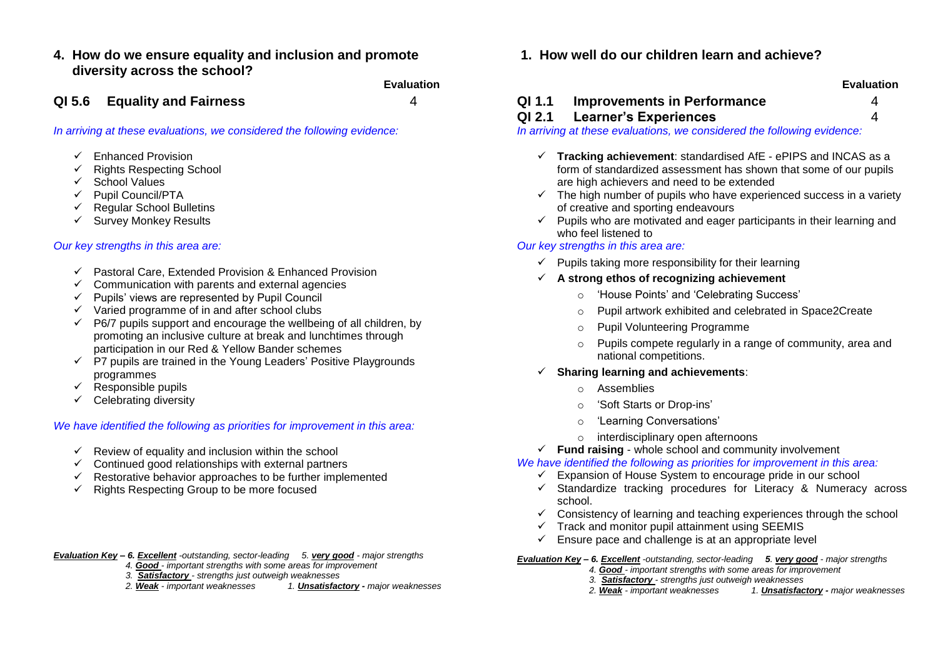**4. How do we ensure equality and inclusion and promote diversity across the school?**

**Evaluation Evaluation**

*In arriving at these evaluations, we considered the following evidence:*

- $\checkmark$  Fnhanced Provision
- $\checkmark$  Rights Respecting School
- $\checkmark$  School Values
- $\checkmark$  Pupil Council/PTA
- $\checkmark$  Regular School Bulletins
- $\checkmark$  Survey Monkey Results

#### *Our key strengths in this area are:*

- $\checkmark$  Pastoral Care, Extended Provision & Enhanced Provision
- $\checkmark$  Communication with parents and external agencies
- $\checkmark$  Pupils' views are represented by Pupil Council
- $\checkmark$  Varied programme of in and after school clubs
- $\checkmark$  P6/7 pupils support and encourage the wellbeing of all children, by promoting an inclusive culture at break and lunchtimes through participation in our Red & Yellow Bander schemes
- $\checkmark$  P7 pupils are trained in the Young Leaders' Positive Playgrounds programmes
- $\checkmark$  Responsible pupils
- $\checkmark$  Celebrating diversity

#### *We have identified the following as priorities for improvement in this area:*

- $\checkmark$  Review of equality and inclusion within the school
- $\checkmark$  Continued good relationships with external partners
- $\checkmark$  Restorative behavior approaches to be further implemented
- $\checkmark$  Rights Respecting Group to be more focused
- *Evaluation Key – 6. Excellent -outstanding, sector-leading 5. very good - major strengths* 
	- *4. Good - important strengths with some areas for improvement*
	- *3. Satisfactory - strengths just outweigh weaknesses*
	- *2. Weak - important weaknesses 1. Unsatisfactory - major weaknesses*

**1. How well do our children learn and achieve?**

**QI 5.6 Equality and Fairness** 4 **QI 1.1 Improvements in Performance** 4

#### **QI 2.1 Learner's Experiences** 4

*In arriving at these evaluations, we considered the following evidence:*

- **Tracking achievement**: standardised AfE ePIPS and INCAS as a form of standardized assessment has shown that some of our pupils are high achievers and need to be extended
- $\checkmark$  The high number of pupils who have experienced success in a variety of creative and sporting endeavours
- $\checkmark$  Pupils who are motivated and eager participants in their learning and who feel listened to

#### *Our key strengths in this area are:*

- $\checkmark$  Pupils taking more responsibility for their learning
- **A strong ethos of recognizing achievement**
	- o 'House Points' and 'Celebrating Success'
	- o Pupil artwork exhibited and celebrated in Space2Create
	- o Pupil Volunteering Programme
	- o Pupils compete regularly in a range of community, area and national competitions.
- **Sharing learning and achievements**:
	- o Assemblies
	- o 'Soft Starts or Drop-ins'
	- o 'Learning Conversations'
	- o interdisciplinary open afternoons
- **Fund raising** whole school and community involvement

*We have identified the following as priorities for improvement in this area:*

- $\checkmark$  Expansion of House System to encourage pride in our school
- $\checkmark$  Standardize tracking procedures for Literacy & Numeracy across school.
- $\checkmark$  Consistency of learning and teaching experiences through the school
- $\checkmark$  Track and monitor pupil attainment using SEEMIS
- $\checkmark$  Ensure pace and challenge is at an appropriate level
- *Evaluation Key – 6. Excellent -outstanding, sector-leading 5. very good - major strengths* 
	- *4. Good - important strengths with some areas for improvement*
	- *3. Satisfactory - strengths just outweigh weaknesses*
	- *2. Weak - important weaknesses 1. Unsatisfactory - major weaknesses*